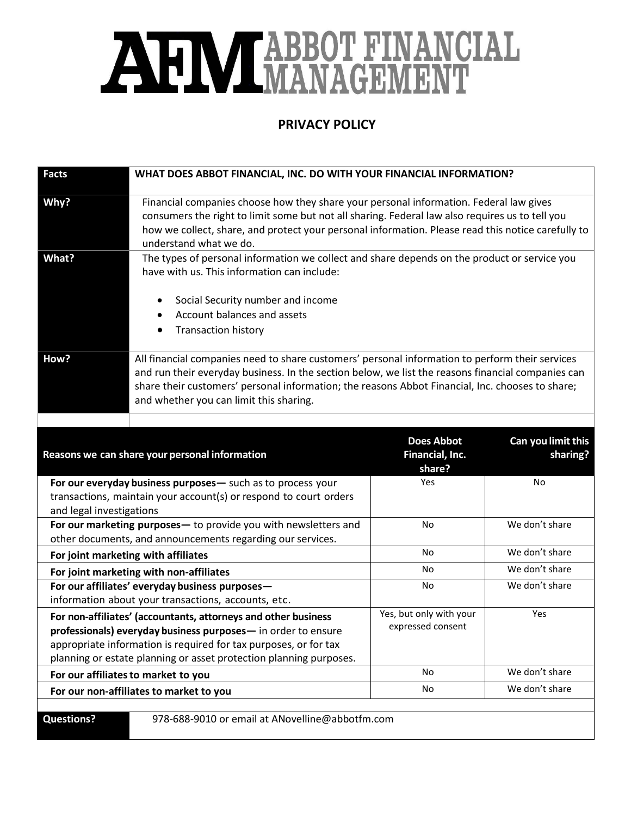## AHM TABBOT FINANCIAL

## **PRIVACY POLICY**

| <b>Facts</b>                                                                                                                                                                                                                                                              | WHAT DOES ABBOT FINANCIAL, INC. DO WITH YOUR FINANCIAL INFORMATION?                                                                                                                                                                                                                                                                                  |                                                |                                |
|---------------------------------------------------------------------------------------------------------------------------------------------------------------------------------------------------------------------------------------------------------------------------|------------------------------------------------------------------------------------------------------------------------------------------------------------------------------------------------------------------------------------------------------------------------------------------------------------------------------------------------------|------------------------------------------------|--------------------------------|
| Why?                                                                                                                                                                                                                                                                      | Financial companies choose how they share your personal information. Federal law gives<br>consumers the right to limit some but not all sharing. Federal law also requires us to tell you<br>how we collect, share, and protect your personal information. Please read this notice carefully to<br>understand what we do.                            |                                                |                                |
| What?                                                                                                                                                                                                                                                                     | The types of personal information we collect and share depends on the product or service you<br>have with us. This information can include:                                                                                                                                                                                                          |                                                |                                |
|                                                                                                                                                                                                                                                                           | Social Security number and income<br>$\bullet$<br>Account balances and assets<br>$\bullet$<br><b>Transaction history</b>                                                                                                                                                                                                                             |                                                |                                |
| How?                                                                                                                                                                                                                                                                      | All financial companies need to share customers' personal information to perform their services<br>and run their everyday business. In the section below, we list the reasons financial companies can<br>share their customers' personal information; the reasons Abbot Financial, Inc. chooses to share;<br>and whether you can limit this sharing. |                                                |                                |
|                                                                                                                                                                                                                                                                           |                                                                                                                                                                                                                                                                                                                                                      |                                                |                                |
| Reasons we can share your personal information                                                                                                                                                                                                                            |                                                                                                                                                                                                                                                                                                                                                      | <b>Does Abbot</b><br>Financial, Inc.<br>share? | Can you limit this<br>sharing? |
| For our everyday business purposes- such as to process your<br>transactions, maintain your account(s) or respond to court orders<br>and legal investigations                                                                                                              |                                                                                                                                                                                                                                                                                                                                                      | Yes                                            | No                             |
| For our marketing purposes- to provide you with newsletters and<br>other documents, and announcements regarding our services.                                                                                                                                             |                                                                                                                                                                                                                                                                                                                                                      | No                                             | We don't share                 |
| For joint marketing with affiliates                                                                                                                                                                                                                                       |                                                                                                                                                                                                                                                                                                                                                      | No                                             | We don't share                 |
| For joint marketing with non-affiliates                                                                                                                                                                                                                                   |                                                                                                                                                                                                                                                                                                                                                      | No                                             | We don't share                 |
| For our affiliates' everyday business purposes-<br>information about your transactions, accounts, etc.                                                                                                                                                                    |                                                                                                                                                                                                                                                                                                                                                      | No                                             | We don't share                 |
| For non-affiliates' (accountants, attorneys and other business<br>professionals) everyday business purposes- in order to ensure<br>appropriate information is required for tax purposes, or for tax<br>planning or estate planning or asset protection planning purposes. |                                                                                                                                                                                                                                                                                                                                                      | Yes, but only with your<br>expressed consent   | Yes                            |
| For our affiliates to market to you                                                                                                                                                                                                                                       |                                                                                                                                                                                                                                                                                                                                                      | No                                             | We don't share                 |
| For our non-affiliates to market to you                                                                                                                                                                                                                                   |                                                                                                                                                                                                                                                                                                                                                      | No                                             | We don't share                 |
|                                                                                                                                                                                                                                                                           |                                                                                                                                                                                                                                                                                                                                                      |                                                |                                |
| <b>Questions?</b>                                                                                                                                                                                                                                                         | 978-688-9010 or email at ANovelline@abbotfm.com                                                                                                                                                                                                                                                                                                      |                                                |                                |